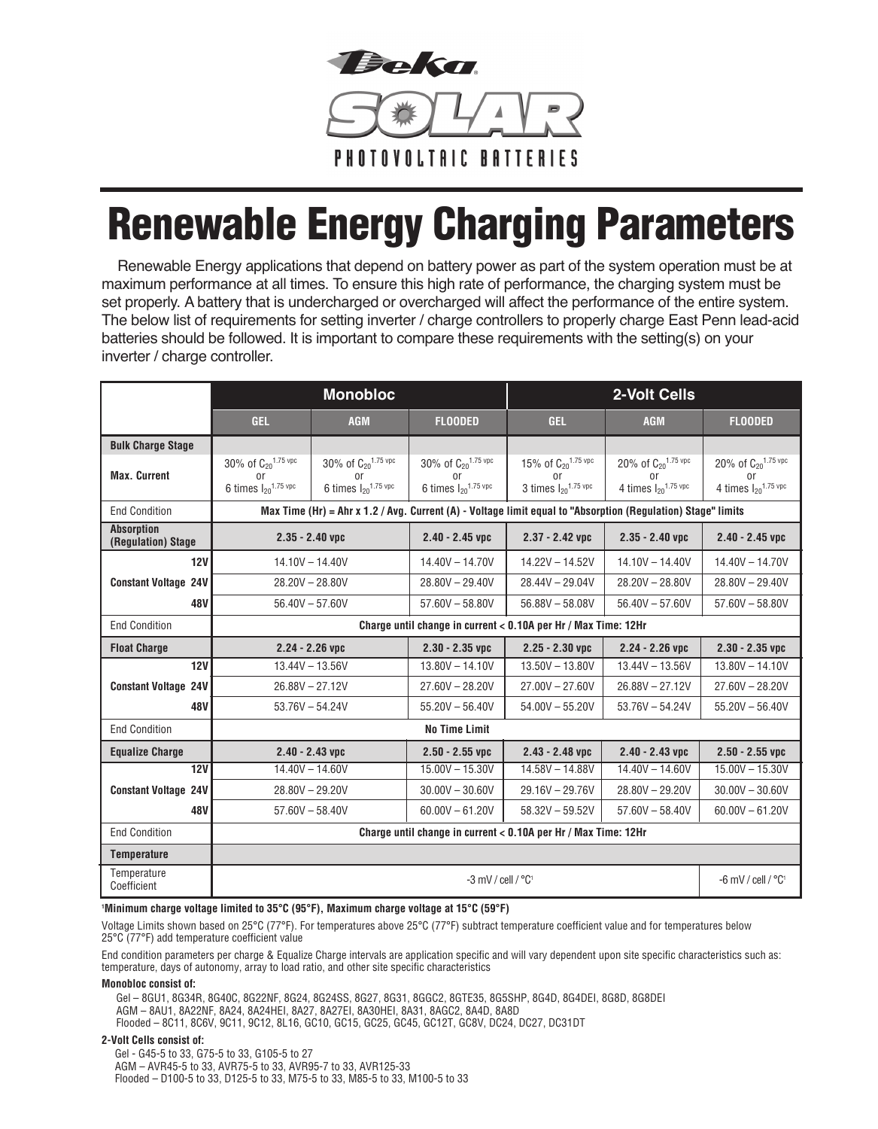

# **Renewable Energy Charging Parameters**

Renewable Energy applications that depend on battery power as part of the system operation must be at maximum performance at all times. To ensure this high rate of performance, the charging system must be set properly. A battery that is undercharged or overcharged will affect the performance of the entire system. The below list of requirements for setting inverter / charge controllers to properly charge East Penn lead-acid batteries should be followed. It is important to compare these requirements with the setting(s) on your inverter / charge controller.

|                                         | <b>Monobloc</b>                                                                                              |                                            |                                            | 2-Volt Cells                               |                                            |                                            |
|-----------------------------------------|--------------------------------------------------------------------------------------------------------------|--------------------------------------------|--------------------------------------------|--------------------------------------------|--------------------------------------------|--------------------------------------------|
|                                         | GEL.                                                                                                         | <b>AGM</b>                                 | <b>FLOODED</b>                             | <b>GEL</b>                                 | <b>AGM</b>                                 | <b>FLOODED</b>                             |
| <b>Bulk Charge Stage</b>                |                                                                                                              |                                            |                                            |                                            |                                            |                                            |
| <b>Max. Current</b>                     | 30% of C <sub>20</sub> 1.75 vpc                                                                              | 30% of C <sub>20</sub> 1.75 vpc            | 30% of C <sub>20</sub> 1.75 vpc            | 15% of C <sub>20</sub> 1.75 vpc            | 20% of C <sub>20</sub> 1.75 vpc            | 20% of C <sub>20</sub> 1.75 vpc            |
|                                         | or<br>6 times $I_{20}$ <sup>1.75 vpc</sup>                                                                   | 0r<br>6 times $I_{20}$ <sup>1.75 vpc</sup> | or<br>6 times $I_{20}$ <sup>1.75 vpc</sup> | or<br>3 times $I_{20}$ <sup>1.75 vpc</sup> | or<br>4 times $I_{20}$ <sup>1.75 vpc</sup> | 0r<br>4 times $I_{20}$ <sup>1.75 vpc</sup> |
| <b>End Condition</b>                    | Max Time (Hr) = Ahr x 1.2 / Avg. Current (A) - Voltage limit equal to "Absorption (Regulation) Stage" limits |                                            |                                            |                                            |                                            |                                            |
| <b>Absorption</b><br>(Regulation) Stage | $2.35 - 2.40$ vpc                                                                                            |                                            | $2.40 - 2.45$ vpc                          | $2.37 - 2.42$ vpc                          | $2.35 - 2.40$ vpc                          | $2.40 - 2.45$ vpc                          |
| 12V                                     | $14.10V - 14.40V$                                                                                            |                                            | $14.40V - 14.70V$                          | $14.22V - 14.52V$                          | $14.10V - 14.40V$                          | $14.40V - 14.70V$                          |
| <b>Constant Voltage 24V</b>             | $28.20V - 28.80V$                                                                                            |                                            | $28.80V - 29.40V$                          | $28.44V - 29.04V$                          | $28.20V - 28.80V$                          | $28.80V - 29.40V$                          |
| 48V                                     | $56.40V - 57.60V$                                                                                            |                                            | $57.60V - 58.80V$                          | $56.88V - 58.08V$                          | $56.40V - 57.60V$                          | $57.60V - 58.80V$                          |
| <b>End Condition</b>                    | Charge until change in current < 0.10A per Hr / Max Time: 12Hr                                               |                                            |                                            |                                            |                                            |                                            |
| <b>Float Charge</b>                     | $2.24 - 2.26$ vpc                                                                                            |                                            | $2.30 - 2.35$ vpc                          | $2.25 - 2.30$ vpc                          | $2.24 - 2.26$ vpc                          | $2.30 - 2.35$ vpc                          |
| 12V                                     | $13.44V - 13.56V$                                                                                            |                                            | $13.80V - 14.10V$                          | $13.50V - 13.80V$                          | $13.44V - 13.56V$                          | $13.80V - 14.10V$                          |
| <b>Constant Voltage 24V</b>             | $26.88V - 27.12V$                                                                                            |                                            | $27.60V - 28.20V$                          | $27.00V - 27.60V$                          | $26.88V - 27.12V$                          | $27.60V - 28.20V$                          |
| 48V                                     | $53.76V - 54.24V$                                                                                            |                                            | $55.20V - 56.40V$                          | $54.00V - 55.20V$                          | $53.76V - 54.24V$                          | $55.20V - 56.40V$                          |
| <b>End Condition</b>                    | <b>No Time Limit</b>                                                                                         |                                            |                                            |                                            |                                            |                                            |
| <b>Equalize Charge</b>                  | $2.40 - 2.43$ vpc                                                                                            |                                            | $2.50 - 2.55$ vpc                          | $2.43 - 2.48$ vpc                          | $2.40 - 2.43$ vpc                          | $2.50 - 2.55$ vpc                          |
| 12V                                     | $14.40V - 14.60V$                                                                                            |                                            | $15.00V - 15.30V$                          | $14.58V - 14.88V$                          | $14.40V - 14.60V$                          | $15.00V - 15.30V$                          |
| <b>Constant Voltage 24V</b>             | $28.80V - 29.20V$                                                                                            |                                            | $30.00V - 30.60V$                          | $29.16V - 29.76V$                          | $28.80V - 29.20V$                          | $30.00V - 30.60V$                          |
| <b>48V</b>                              | $57.60V - 58.40V$                                                                                            |                                            | $60.00V - 61.20V$                          | $58.32V - 59.52V$                          | $57.60V - 58.40V$                          | $60.00V - 61.20V$                          |
| <b>End Condition</b>                    | Charge until change in current < 0.10A per Hr / Max Time: 12Hr                                               |                                            |                                            |                                            |                                            |                                            |
| <b>Temperature</b>                      |                                                                                                              |                                            |                                            |                                            |                                            |                                            |
| Temperature<br>Coefficient              | $-3$ mV / cell / $^{\circ}$ C <sup>1</sup>                                                                   |                                            |                                            |                                            |                                            | -6 mV / cell / $^{\circ}C^1$               |

### **1 Minimum charge voltage limited to 35°C (95°F), Maximum charge voltage at 15°C (59°F)**

Voltage Limits shown based on 25°C (77°F). For temperatures above 25°C (77°F) subtract temperature coefficient value and for temperatures below 25°C (77°F) add temperature coefficient value

End condition parameters per charge & Equalize Charge intervals are application specific and will vary dependent upon site specific characteristics such as: temperature, days of autonomy, array to load ratio, and other site specific characteristics

### **Monobloc consist of:**

 Gel – 8GU1, 8G34R, 8G40C, 8G22NF, 8G24, 8G24SS, 8G27, 8G31, 8GGC2, 8GTE35, 8G5SHP, 8G4D, 8G4DEI, 8G8D, 8G8DEI AGM – 8AU1, 8A22NF, 8A24, 8A24HEI, 8A27, 8A27EI, 8A30HEI, 8A31, 8AGC2, 8A4D, 8A8D Flooded – 8C11, 8C6V, 9C11, 9C12, 8L16, GC10, GC15, GC25, GC45, GC12T, GC8V, DC24, DC27, DC31DT

## **2-Volt Cells consist of:**

 Gel - G45-5 to 33, G75-5 to 33, G105-5 to 27 AGM – AVR45-5 to 33, AVR75-5 to 33, AVR95-7 to 33, AVR125-33 Flooded – D100-5 to 33, D125-5 to 33, M75-5 to 33, M85-5 to 33, M100-5 to 33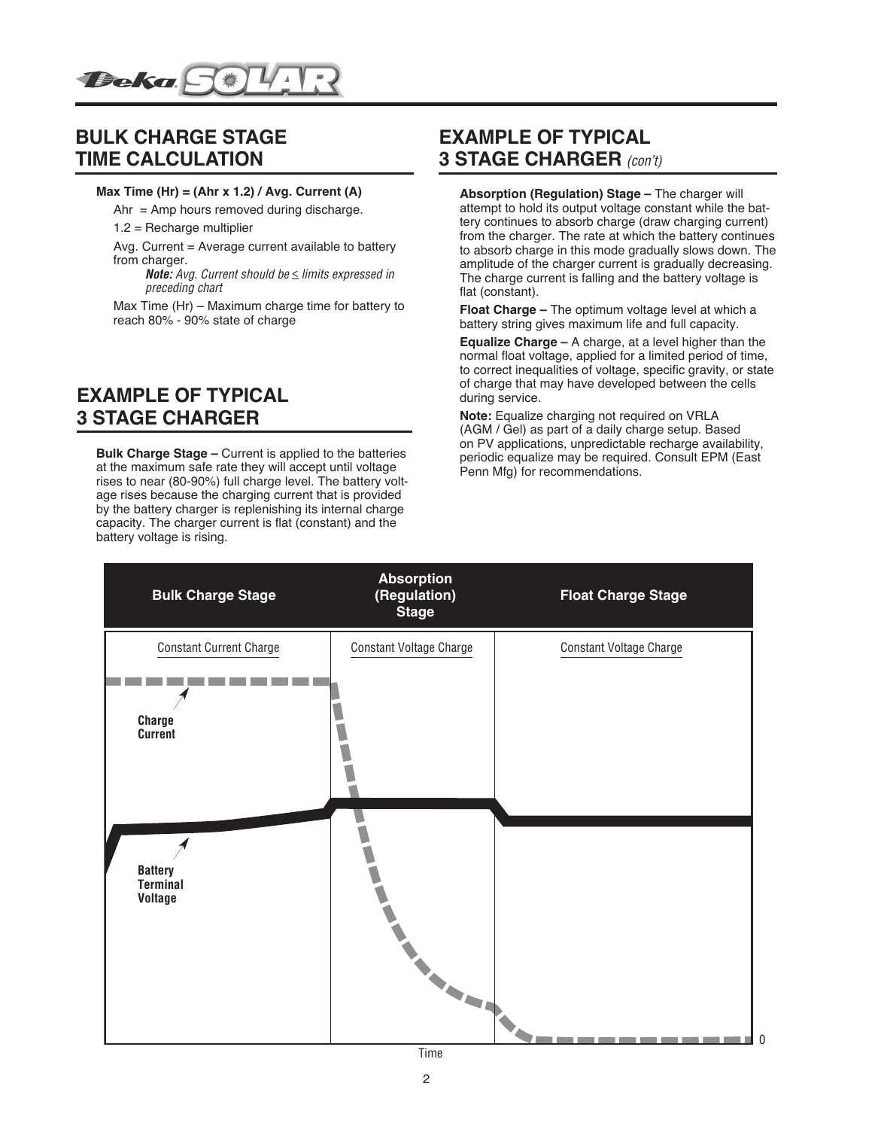

# **BULK CHARGE STAGE TIME CALCULATION**

## **Max Time (Hr) = (Ahr x 1.2) / Avg. Current (A)**

 $Ahr = Amp$  hours removed during discharge.

1.2 = Recharge multiplier

Avg. Current = Average current available to battery from charger.

*Note: Avg. Current should be* < *limits expressed in preceding chart*

Max Time (Hr) – Maximum charge time for battery to reach 80% - 90% state of charge

# **EXAMPLE OF TYPICAL 3 STAGE CHARGER**

**Bulk Charge Stage –** Current is applied to the batteries at the maximum safe rate they will accept until voltage rises to near (80-90%) full charge level. The battery voltage rises because the charging current that is provided by the battery charger is replenishing its internal charge capacity. The charger current is flat (constant) and the battery voltage is rising.

# **EXAMPLE OF TYPICAL 3 STAGE CHARGER** *(con't)*

**Absorption (Regulation) Stage –** The charger will attempt to hold its output voltage constant while the battery continues to absorb charge (draw charging current) from the charger. The rate at which the battery continues to absorb charge in this mode gradually slows down. The amplitude of the charger current is gradually decreasing. The charge current is falling and the battery voltage is flat (constant).

**Float Charge –** The optimum voltage level at which a battery string gives maximum life and full capacity.

**Equalize Charge –** A charge, at a level higher than the normal float voltage, applied for a limited period of time, to correct inequalities of voltage, specific gravity, or state of charge that may have developed between the cells during service.

**Note:** Equalize charging not required on VRLA (AGM / Gel) as part of a daily charge setup. Based on PV applications, unpredictable recharge availability, periodic equalize may be required. Consult EPM (East Penn Mfg) for recommendations.

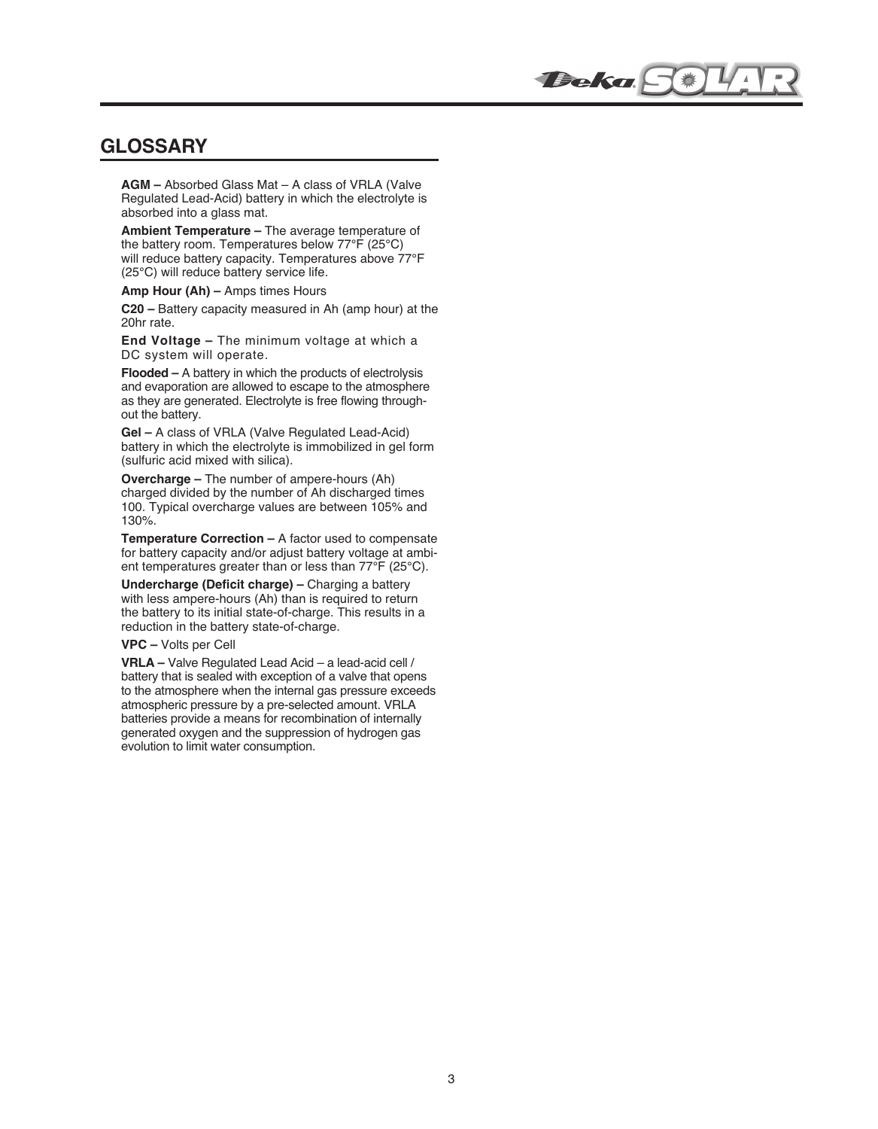## **GLOSSARY**

**AGM –** Absorbed Glass Mat – A class of VRLA (Valve Regulated Lead-Acid) battery in which the electrolyte is absorbed into a glass mat.

**Ambient Temperature –** The average temperature of the battery room. Temperatures below 77°F (25°C) will reduce battery capacity. Temperatures above 77°F (25°C) will reduce battery service life.

**Amp Hour (Ah) –** Amps times Hours

**C20 –** Battery capacity measured in Ah (amp hour) at the 20hr rate.

**End Voltage –** The minimum voltage at which a DC system will operate.

**Flooded –** A battery in which the products of electrolysis and evaporation are allowed to escape to the atmosphere as they are generated. Electrolyte is free flowing throughout the battery.

**Gel –** A class of VRLA (Valve Regulated Lead-Acid) battery in which the electrolyte is immobilized in gel form (sulfuric acid mixed with silica).

**Overcharge –** The number of ampere-hours (Ah) charged divided by the number of Ah discharged times 100. Typical overcharge values are between 105% and 130%.

**Temperature Correction –** A factor used to compensate for battery capacity and/or adjust battery voltage at ambient temperatures greater than or less than 77°F (25°C).

**Undercharge (Deficit charge) –** Charging a battery with less ampere-hours (Ah) than is required to return the battery to its initial state-of-charge. This results in a reduction in the battery state-of-charge.

## **VPC –** Volts per Cell

**VRLA –** Valve Regulated Lead Acid – a lead-acid cell / battery that is sealed with exception of a valve that opens to the atmosphere when the internal gas pressure exceeds atmospheric pressure by a pre-selected amount. VRLA batteries provide a means for recombination of internally generated oxygen and the suppression of hydrogen gas evolution to limit water consumption.

**Beka Fit**